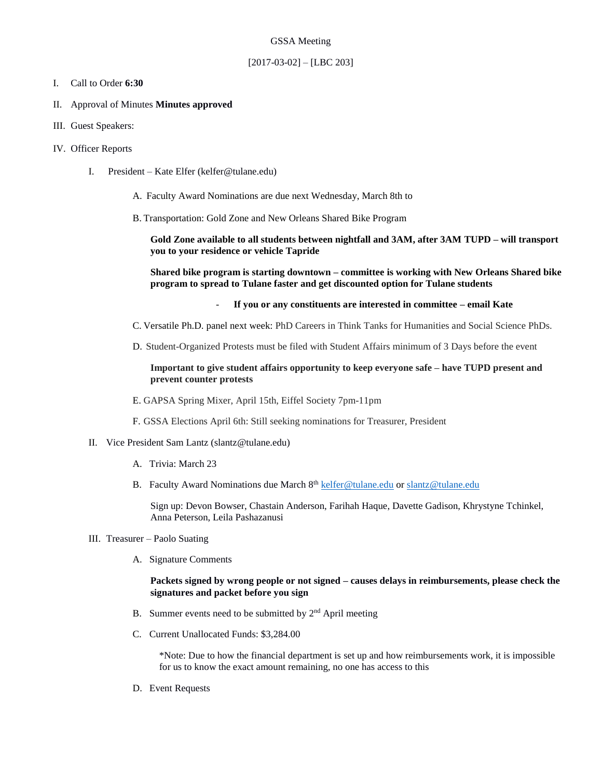### GSSA Meeting

## $[2017-03-02] - [LBC 203]$

### I. Call to Order **6:30**

- II. Approval of Minutes **Minutes approved**
- III. Guest Speakers:
- IV. Officer Reports
	- I. President Kate Elfer (kelfer@tulane.edu)
		- A. Faculty Award Nominations are due next Wednesday, March 8th to
		- B. Transportation: Gold Zone and New Orleans Shared Bike Program

**Gold Zone available to all students between nightfall and 3AM, after 3AM TUPD – will transport you to your residence or vehicle Tapride**

**Shared bike program is starting downtown – committee is working with New Orleans Shared bike program to spread to Tulane faster and get discounted option for Tulane students**

### - **If you or any constituents are interested in committee – email Kate**

- C. Versatile Ph.D. panel next week: PhD Careers in Think Tanks for Humanities and Social Science PhDs.
- D. Student-Organized Protests must be filed with Student Affairs minimum of 3 Days before the event

## **Important to give student affairs opportunity to keep everyone safe – have TUPD present and prevent counter protests**

- E. GAPSA Spring Mixer, April 15th, Eiffel Society 7pm-11pm
- F. GSSA Elections April 6th: Still seeking nominations for Treasurer, President
- II. Vice President Sam Lantz (slantz@tulane.edu)
	- A. Trivia: March 23
	- B. Faculty Award Nominations due March 8<sup>th</sup> [kelfer@tulane.edu](mailto:kelfer@tulane.edu) o[r slantz@tulane.edu](mailto:slantz@tulane.edu)

Sign up: Devon Bowser, Chastain Anderson, Farihah Haque, Davette Gadison, Khrystyne Tchinkel, Anna Peterson, Leila Pashazanusi

- III. Treasurer Paolo Suating
	- A. Signature Comments

### **Packets signed by wrong people or not signed – causes delays in reimbursements, please check the signatures and packet before you sign**

- B. Summer events need to be submitted by  $2<sup>nd</sup>$  April meeting
- C. Current Unallocated Funds: \$3,284.00

\*Note: Due to how the financial department is set up and how reimbursements work, it is impossible for us to know the exact amount remaining, no one has access to this

D. Event Requests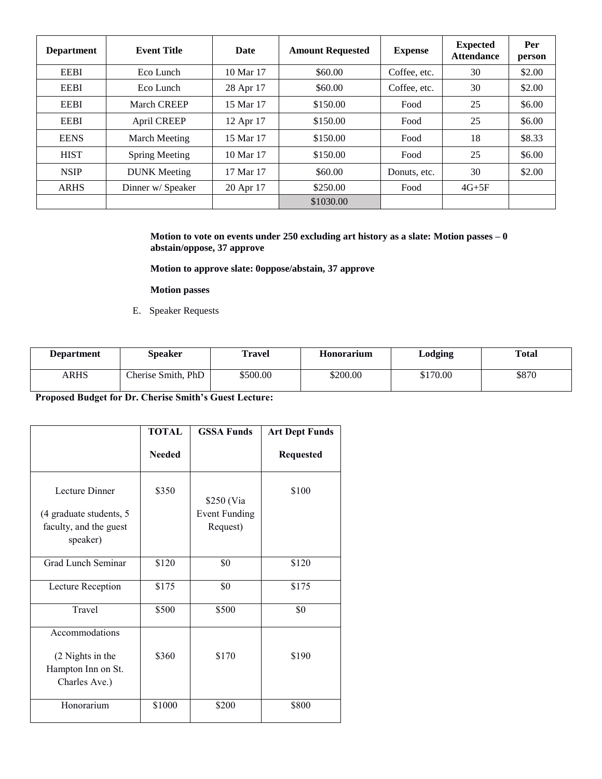| <b>Department</b> | <b>Event Title</b>    | Date      | <b>Amount Requested</b> | <b>Expense</b> | <b>Expected</b><br><b>Attendance</b> | Per<br>person |
|-------------------|-----------------------|-----------|-------------------------|----------------|--------------------------------------|---------------|
| <b>EEBI</b>       | Eco Lunch             | 10 Mar 17 | \$60.00                 | Coffee, etc.   | 30                                   | \$2.00        |
| <b>EEBI</b>       | Eco Lunch             | 28 Apr 17 | \$60.00                 | Coffee, etc.   | 30                                   | \$2.00        |
| <b>EEBI</b>       | <b>March CREEP</b>    | 15 Mar 17 | \$150.00                | Food           | 25                                   | \$6.00        |
| <b>EEBI</b>       | <b>April CREEP</b>    | 12 Apr 17 | \$150.00                | Food           | 25                                   | \$6.00        |
| <b>EENS</b>       | March Meeting         | 15 Mar 17 | \$150.00                | Food           | 18                                   | \$8.33        |
| <b>HIST</b>       | <b>Spring Meeting</b> | 10 Mar 17 | \$150.00                | Food           | 25                                   | \$6.00        |
| <b>NSIP</b>       | <b>DUNK</b> Meeting   | 17 Mar 17 | \$60.00                 | Donuts, etc.   | 30                                   | \$2.00        |
| <b>ARHS</b>       | Dinner w/ Speaker     | 20 Apr 17 | \$250.00                | Food           | $4G+5F$                              |               |
|                   |                       |           | \$1030.00               |                |                                      |               |

### **Motion to vote on events under 250 excluding art history as a slate: Motion passes – 0 abstain/oppose, 37 approve**

**Motion to approve slate: 0oppose/abstain, 37 approve**

# **Motion passes**

E. Speaker Requests

| <b>Department</b> | Speaker            | <b>Travel</b> | <b>Honorarium</b> | Lodging  | <b>Total</b> |
|-------------------|--------------------|---------------|-------------------|----------|--------------|
| ARHS              | Cherise Smith, PhD | \$500.00      | \$200.00          | \$170.00 | \$870        |

Proposed Budget for Dr. Cherise Smith's Guest Lecture:

|                                                                                 | <b>TOTAL</b>  | <b>GSSA Funds</b>                              | <b>Art Dept Funds</b> |
|---------------------------------------------------------------------------------|---------------|------------------------------------------------|-----------------------|
|                                                                                 | <b>Needed</b> |                                                | <b>Requested</b>      |
| Lecture Dinner<br>(4 graduate students, 5<br>faculty, and the guest<br>speaker) | \$350         | \$250 (Via<br><b>Event Funding</b><br>Request) | \$100                 |
| Grad Lunch Seminar                                                              | \$120         | \$0                                            | \$120                 |
| Lecture Reception                                                               | \$175         | \$0                                            | \$175                 |
| Travel                                                                          | \$500         | \$500                                          | \$0                   |
| Accommodations<br>(2 Nights in the<br>Hampton Inn on St.<br>Charles Ave.)       | \$360         | \$170                                          | \$190                 |
| Honorarium                                                                      | \$1000        | \$200                                          | \$800                 |